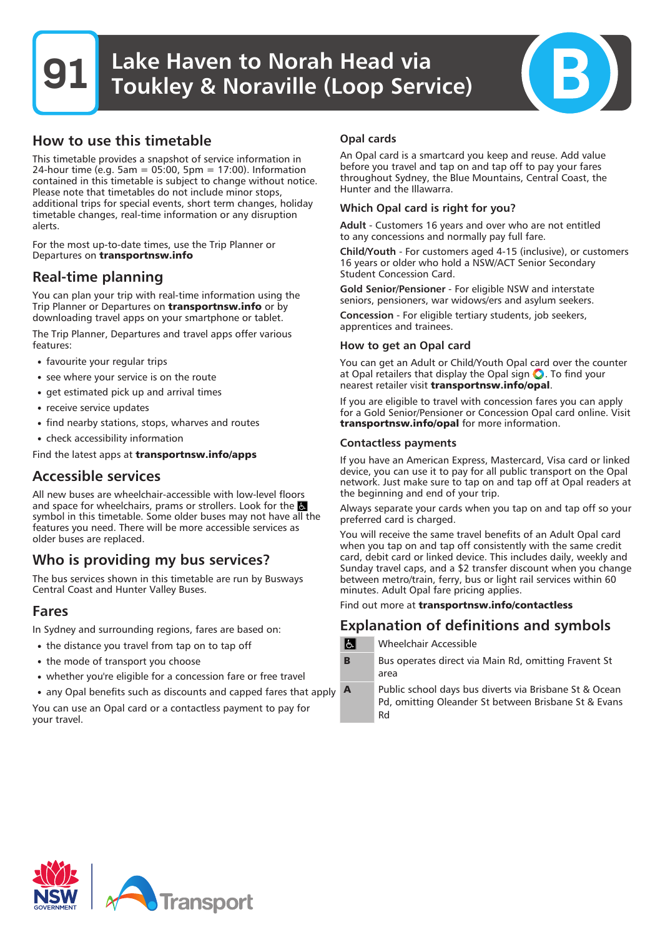## How to use this timetable

This timetable provides a snapshot of service information in 24-hour time (e.g. 5am = 05:00, 5pm = 17:00). Information contained in this timetable is subject to change without notice. Please note that timetables do not include minor stops, additional trips for special events, short term changes, holiday timetable changes, real-time information or any disruption alerts.

For the most up-to-date times, use the Trip Planner or Departures on **transportnsw.info**

## Real-time planning

You can plan your trip with real-time information using the Trip Planner or Departures on **transportnsw.info** or by downloading travel apps on your smartphone or tablet.

The Trip Planner, Departures and travel apps offer various features:

- favourite your regular trips
- see where your service is on the route
- get estimated pick up and arrival times
- receive service updates
- find nearby stations, stops, wharves and routes
- check accessibility information

Find the latest apps at **transportnsw.info/apps**

## Accessible services

All new buses are wheelchair-accessible with low-level floors and space for wheelchairs, prams or strollers. Look for the symbol in this timetable. Some older buses may not have all the features you need. There will be more accessible services as older buses are replaced.

# Who is providing my bus services?

The bus services shown in this timetable are run by Busways Central Coast and Hunter Valley Buses.

### Fares

In Sydney and surrounding regions, fares are based on:

- the distance you travel from tap on to tap off
- the mode of transport you choose
- whether you're eligible for a concession fare or free travel
- any Opal benefits such as discounts and capped fares that apply

You can use an Opal card or a contactless payment to pay for your travel.

#### Opal cards

An Opal card is a smartcard you keep and reuse. Add value before you travel and tap on and tap off to pay your fares throughout Sydney, the Blue Mountains, Central Coast, the Hunter and the Illawarra.

#### Which Opal card is right for you?

Adult - Customers 16 years and over who are not entitled to any concessions and normally pay full fare.

Child/Youth - For customers aged 4-15 (inclusive), or customers 16 years or older who hold a NSW/ACT Senior Secondary Student Concession Card.

Gold Senior/Pensioner - For eligible NSW and interstate seniors, pensioners, war widows/ers and asylum seekers.

Concession - For eligible tertiary students, job seekers, apprentices and trainees.

#### How to get an Opal card

You can get an Adult or Child/Youth Opal card over the counter at Opal retailers that display the Opal sign  $\bigcirc$ . To find your nearest retailer visit **transportnsw.info/opal**.

If you are eligible to travel with concession fares you can apply for a Gold Senior/Pensioner or Concession Opal card online. Visit **transportnsw.info/opal** for more information.

#### Contactless payments

If you have an American Express, Mastercard, Visa card or linked device, you can use it to pay for all public transport on the Opal network. Just make sure to tap on and tap off at Opal readers at the beginning and end of your trip.

Always separate your cards when you tap on and tap off so your preferred card is charged.

You will receive the same travel benefits of an Adult Opal card when you tap on and tap off consistently with the same credit card, debit card or linked device. This includes daily, weekly and Sunday travel caps, and a \$2 transfer discount when you change between metro/train, ferry, bus or light rail services within 60 minutes. Adult Opal fare pricing applies.

Find out more at **transportnsw.info/contactless**

## Explanation of definitions and symbols

 $\overline{a}$ Wheelchair Accessible

**B** Bus operates direct via Main Rd, omitting Fravent St area

**A** Public school days bus diverts via Brisbane St & Ocean Pd, omitting Oleander St between Brisbane St & Evans Rd

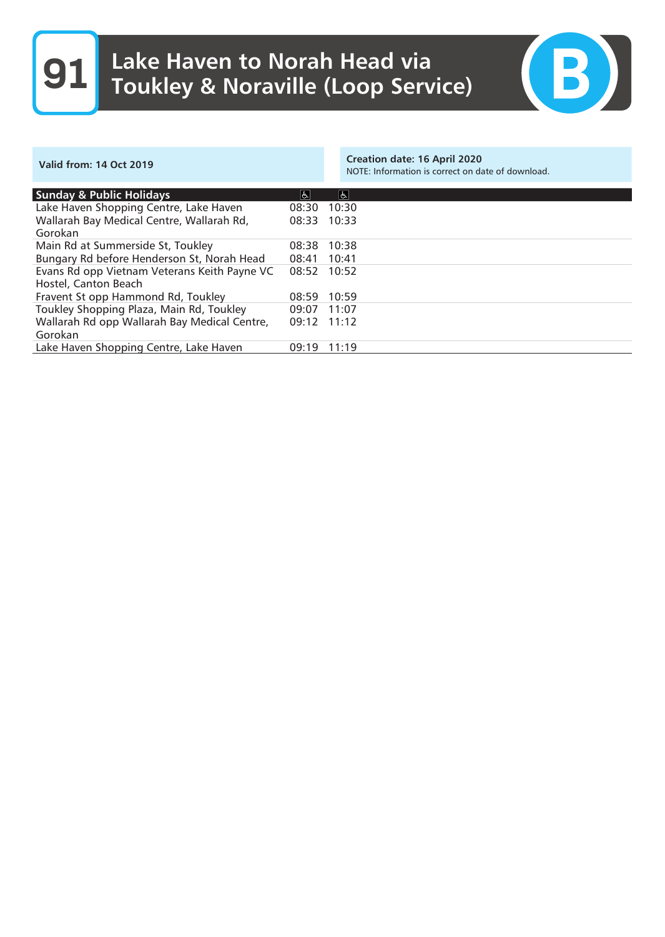# **91** Lake Haven to Norah Head via Toukley & Noraville (Loop Service)



| <b>Valid from: 14 Oct 2019</b>                                       |             | Creation date: 16 April 2020<br>NOTE: Information is correct on date of download. |
|----------------------------------------------------------------------|-------------|-----------------------------------------------------------------------------------|
| <b>Sunday &amp; Public Holidays</b>                                  | e           | e                                                                                 |
| Lake Haven Shopping Centre, Lake Haven                               | 08:30       | 10:30                                                                             |
| Wallarah Bay Medical Centre, Wallarah Rd,<br>Gorokan                 | 08:33       | 10:33                                                                             |
| Main Rd at Summerside St, Toukley                                    | 08:38       | 10:38                                                                             |
| Bungary Rd before Henderson St, Norah Head                           | 08:41       | 10:41                                                                             |
| Evans Rd opp Vietnam Veterans Keith Payne VC<br>Hostel, Canton Beach | 08:52       | 10:52                                                                             |
| Fravent St opp Hammond Rd, Toukley                                   | 08:59       | 10:59                                                                             |
| Toukley Shopping Plaza, Main Rd, Toukley                             | 09:07       | 11:07                                                                             |
| Wallarah Rd opp Wallarah Bay Medical Centre,<br>Gorokan              | 09:12 11:12 |                                                                                   |
| Lake Haven Shopping Centre, Lake Haven                               | 09:19       | 11:19                                                                             |
|                                                                      |             |                                                                                   |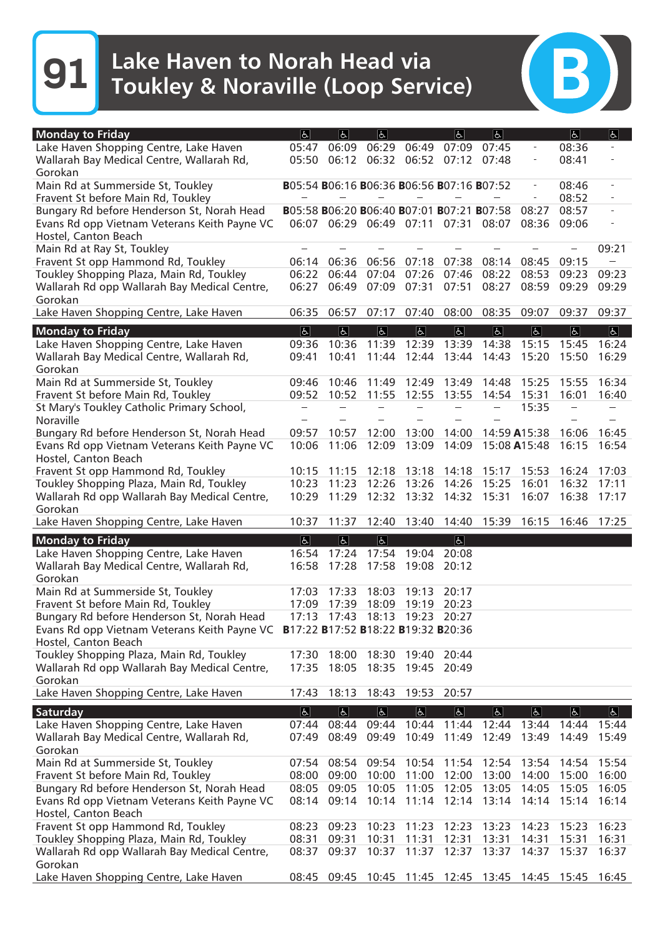**91** Lake Haven to Norah Head via Toukley & Noraville (Loop Service)

| <b>Monday to Friday</b>                                                                  | $ \mathbf{f} $                            | <sub>6</sub>            | $\overline{6}$                    |                                     | $ \mathbf{f} $          | $\boxed{6}$                         |                         | $\boxed{6}$    | ჭ                                |
|------------------------------------------------------------------------------------------|-------------------------------------------|-------------------------|-----------------------------------|-------------------------------------|-------------------------|-------------------------------------|-------------------------|----------------|----------------------------------|
| Lake Haven Shopping Centre, Lake Haven                                                   | 05:47                                     | 06:09                   | 06:29                             | 06:49                               | 07:09                   | 07:45                               |                         | 08:36          |                                  |
| Wallarah Bay Medical Centre, Wallarah Rd,                                                | 05:50                                     |                         |                                   | 06:12 06:32 06:52 07:12 07:48       |                         |                                     |                         | 08:41          |                                  |
| Gorokan                                                                                  |                                           |                         |                                   |                                     |                         |                                     |                         |                |                                  |
| Main Rd at Summerside St, Toukley                                                        | B05:54 B06:16 B06:36 B06:56 B07:16 B07:52 |                         |                                   |                                     |                         |                                     |                         | 08:46          | $\overline{\phantom{0}}$         |
| Fravent St before Main Rd, Toukley                                                       |                                           |                         |                                   |                                     |                         |                                     | $\equiv$                | 08:52          | $\qquad \qquad \blacksquare$     |
| Bungary Rd before Henderson St, Norah Head                                               | B05:58 B06:20 B06:40 B07:01 B07:21 B07:58 |                         |                                   |                                     |                         |                                     | 08:27                   | 08:57          | $\overline{\phantom{a}}$         |
| Evans Rd opp Vietnam Veterans Keith Payne VC                                             |                                           |                         |                                   | 06:07 06:29 06:49 07:11 07:31 08:07 |                         |                                     | 08:36                   | 09:06          |                                  |
| Hostel, Canton Beach                                                                     |                                           |                         |                                   |                                     |                         |                                     |                         |                |                                  |
| Main Rd at Ray St, Toukley                                                               |                                           |                         |                                   |                                     |                         |                                     |                         |                | 09:21                            |
| Fravent St opp Hammond Rd, Toukley                                                       | 06:14                                     | 06:36                   | 06:56                             | 07:18                               | 07:38                   | 08:14                               | 08:45                   | 09:15          | $\sim$                           |
| Toukley Shopping Plaza, Main Rd, Toukley<br>Wallarah Rd opp Wallarah Bay Medical Centre, | 06:27                                     | 06:22 06:44<br>06:49    | 07:04<br>07:09                    | 07:26<br>07:31                      | 07:46<br>07:51          | 08:22<br>08:27                      | 08:53<br>08:59          | 09:23<br>09:29 | 09:23<br>09:29                   |
| Gorokan                                                                                  |                                           |                         |                                   |                                     |                         |                                     |                         |                |                                  |
| Lake Haven Shopping Centre, Lake Haven                                                   | 06:35                                     | 06:57                   | 07:17                             | 07:40                               | 08:00                   | 08:35                               | 09:07                   | 09:37          | 09:37                            |
|                                                                                          |                                           |                         |                                   |                                     |                         |                                     |                         |                |                                  |
| <b>Monday to Friday</b><br>Lake Haven Shopping Centre, Lake Haven                        | $\vert \mathbf{F} \vert$<br>09:36         | $\overline{d}$<br>10:36 | $\vert \mathbf{E} \vert$<br>11:39 | $\overline{d}$<br>12:39             | $\overline{6}$<br>13:39 | $\boxed{6}$<br>14:38                | $\overline{b}$<br>15:15 | E <br>15:45    | $\overline{\mathbb{R}}$<br>16:24 |
| Wallarah Bay Medical Centre, Wallarah Rd,                                                | 09:41                                     | 10:41                   | 11:44                             | 12:44                               | 13:44 14:43             |                                     | 15:20                   | 15:50          | 16:29                            |
| Gorokan                                                                                  |                                           |                         |                                   |                                     |                         |                                     |                         |                |                                  |
| Main Rd at Summerside St, Toukley                                                        | 09:46                                     | 10:46                   | 11:49                             | 12:49                               | 13:49                   | 14:48                               | 15:25                   | 15:55          | 16:34                            |
| Fravent St before Main Rd, Toukley                                                       | 09:52                                     | 10:52                   | 11:55                             | 12:55                               | 13:55                   | 14:54                               | 15:31                   | 16:01          | 16:40                            |
| St Mary's Toukley Catholic Primary School,                                               |                                           |                         |                                   |                                     |                         |                                     | 15:35                   |                |                                  |
| Noraville                                                                                |                                           |                         |                                   |                                     |                         |                                     |                         |                |                                  |
| Bungary Rd before Henderson St, Norah Head                                               | 09:57                                     | 10:57                   | 12:00                             | 13:00                               | 14:00                   |                                     | 14:59 A15:38            | 16:06          | 16:45                            |
| Evans Rd opp Vietnam Veterans Keith Payne VC                                             | 10:06                                     | 11:06                   | 12:09                             | 13:09                               | 14:09                   | 15:08 A15:48                        |                         | 16:15          | 16:54                            |
| Hostel, Canton Beach                                                                     |                                           |                         |                                   |                                     |                         |                                     |                         |                |                                  |
| Fravent St opp Hammond Rd, Toukley                                                       | 10:15                                     | 11:15                   | 12:18                             | 13:18                               | 14:18                   | 15:17                               | 15:53                   | 16:24          | 17:03                            |
| Toukley Shopping Plaza, Main Rd, Toukley                                                 | 10:23                                     | 11:23                   | 12:26                             | 13:26                               | 14:26                   | 15:25                               | 16:01                   | 16:32          | 17:11                            |
| Wallarah Rd opp Wallarah Bay Medical Centre,                                             | 10:29                                     | 11:29                   | 12:32                             | 13:32                               | 14:32 15:31             |                                     | 16:07                   | 16:38          | 17:17                            |
| Gorokan                                                                                  |                                           |                         |                                   | 13:40                               |                         | 15:39                               |                         |                | 17:25                            |
| Lake Haven Shopping Centre, Lake Haven                                                   | 10:37                                     | 11:37                   | 12:40                             |                                     | 14:40                   |                                     | 16:15                   | 16:46          |                                  |
| <b>Monday to Friday</b>                                                                  | $ \mathbf{P} $                            | d                       | E                                 |                                     | E                       |                                     |                         |                |                                  |
| Lake Haven Shopping Centre, Lake Haven                                                   | 16:54                                     | 17:24                   | 17:54                             | 19:04                               | 20:08                   |                                     |                         |                |                                  |
| Wallarah Bay Medical Centre, Wallarah Rd,                                                | 16:58                                     | 17:28                   | 17:58                             | 19:08                               | 20:12                   |                                     |                         |                |                                  |
| Gorokan                                                                                  |                                           |                         |                                   |                                     |                         |                                     |                         |                |                                  |
| Main Rd at Summerside St, Toukley<br>Fravent St before Main Rd, Toukley                  | 17:03<br>17:09                            | 17:33<br>17:39          | 18:03<br>18:09                    | 19:13<br>19:19                      | 20:17<br>20:23          |                                     |                         |                |                                  |
| Bungary Rd before Henderson St, Norah Head                                               | 17:13                                     | 17:43                   | 18:13                             | 19:23                               | 20:27                   |                                     |                         |                |                                  |
| Evans Rd opp Vietnam Veterans Keith Payne VC B17:22 B17:52 B18:22 B19:32 B20:36          |                                           |                         |                                   |                                     |                         |                                     |                         |                |                                  |
| Hostel, Canton Beach                                                                     |                                           |                         |                                   |                                     |                         |                                     |                         |                |                                  |
| Toukley Shopping Plaza, Main Rd, Toukley                                                 |                                           | 17:30 18:00             |                                   | 18:30 19:40                         | 20:44                   |                                     |                         |                |                                  |
| Wallarah Rd opp Wallarah Bay Medical Centre,                                             |                                           |                         |                                   | 17:35 18:05 18:35 19:45 20:49       |                         |                                     |                         |                |                                  |
| Gorokan                                                                                  |                                           |                         |                                   |                                     |                         |                                     |                         |                |                                  |
| Lake Haven Shopping Centre, Lake Haven                                                   | 17:43                                     |                         |                                   | 18:13 18:43 19:53                   | 20:57                   |                                     |                         |                |                                  |
| Saturday                                                                                 | $ \mathbf{P} $                            | $\Delta$                | P                                 | $\boxed{6}$                         | $\sqrt{P}$              | e                                   | $\boxed{P}$             | e              | $\boxed{P}$                      |
| Lake Haven Shopping Centre, Lake Haven                                                   |                                           | 07:44 08:44 09:44       |                                   |                                     | 10:44 11:44 12:44       |                                     | 13:44                   |                | 14:44 15:44                      |
| Wallarah Bay Medical Centre, Wallarah Rd,                                                | 07:49                                     |                         | 08:49 09:49                       |                                     | 10:49 11:49 12:49       |                                     | 13:49                   | 14:49          | 15:49                            |
| Gorokan                                                                                  |                                           |                         |                                   |                                     |                         |                                     |                         |                |                                  |
| Main Rd at Summerside St, Toukley                                                        |                                           | 07:54 08:54             |                                   | 09:54 10:54                         | 11:54                   | 12:54                               | 13:54                   | 14:54          | 15:54                            |
| Fravent St before Main Rd, Toukley                                                       |                                           | 08:00 09:00             | 10:00                             | 11:00                               | 12:00                   | 13:00                               | 14:00                   | 15:00          | 16:00                            |
| Bungary Rd before Henderson St, Norah Head                                               | 08:05                                     | 09:05                   | 10:05                             | 11:05                               | 12:05                   | 13:05                               | 14:05                   | 15:05          | 16:05                            |
| Evans Rd opp Vietnam Veterans Keith Payne VC                                             |                                           | 08:14 09:14 10:14       |                                   |                                     | 11:14 12:14 13:14       |                                     | 14:14 15:14             |                | 16:14                            |
| Hostel, Canton Beach                                                                     |                                           |                         |                                   |                                     |                         |                                     |                         |                |                                  |
| Fravent St opp Hammond Rd, Toukley                                                       | 08:23                                     | 09:23                   | 10:23                             | 11:23                               | 12:23                   | 13:23                               | 14:23                   | 15:23          | 16:23                            |
| Toukley Shopping Plaza, Main Rd, Toukley                                                 | 08:31                                     | 09:31                   | 10:31                             | 11:31                               | 12:31                   | 13:31                               | 14:31                   | 15:31          | 16:31                            |
| Wallarah Rd opp Wallarah Bay Medical Centre,                                             | 08:37                                     | 09:37                   | 10:37                             | 11:37                               |                         | 12:37 13:37                         | 14:37                   | 15:37          | 16:37                            |
| Gorokan                                                                                  |                                           |                         |                                   |                                     |                         |                                     |                         |                |                                  |
| Lake Haven Shopping Centre, Lake Haven                                                   | 08:45                                     | 09:45                   |                                   |                                     |                         | 10:45 11:45 12:45 13:45 14:45 15:45 |                         |                | 16:45                            |

(B)